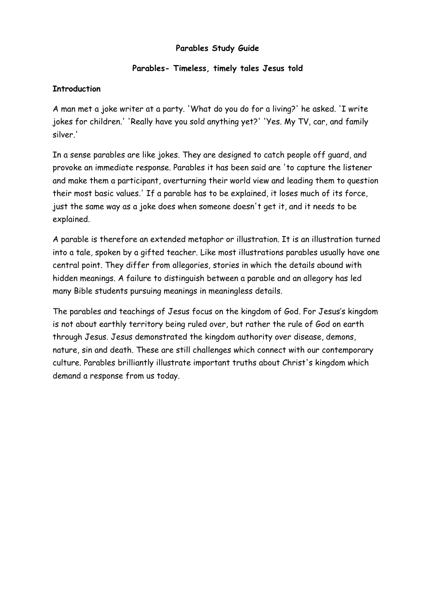### **Parables Study Guide**

## **Parables- Timeless, timely tales Jesus told**

## **Introduction**

A man met a joke writer at a party. 'What do you do for a living?' he asked. 'I write jokes for children.' 'Really have you sold anything yet?' 'Yes. My TV, car, and family silver.'

In a sense parables are like jokes. They are designed to catch people off guard, and provoke an immediate response. Parables it has been said are 'to capture the listener and make them a participant, overturning their world view and leading them to question their most basic values.' If a parable has to be explained, it loses much of its force, just the same way as a joke does when someone doesn't get it, and it needs to be explained.

A parable is therefore an extended metaphor or illustration. It is an illustration turned into a tale, spoken by a gifted teacher. Like most illustrations parables usually have one central point. They differ from allegories, stories in which the details abound with hidden meanings. A failure to distinguish between a parable and an allegory has led many Bible students pursuing meanings in meaningless details.

The parables and teachings of Jesus focus on the kingdom of God. For Jesus's kingdom is not about earthly territory being ruled over, but rather the rule of God on earth through Jesus. Jesus demonstrated the kingdom authority over disease, demons, nature, sin and death. These are still challenges which connect with our contemporary culture. Parables brilliantly illustrate important truths about Christ's kingdom which demand a response from us today.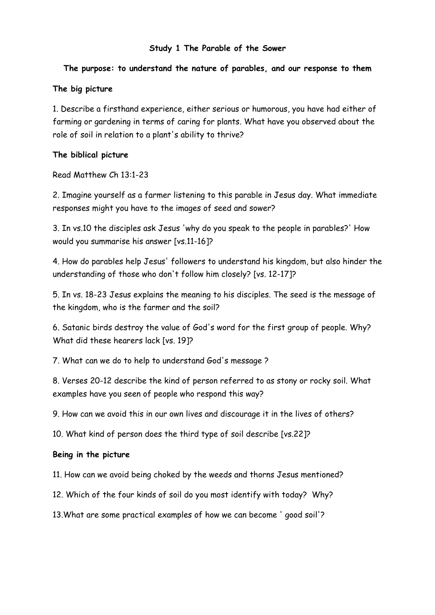### **Study 1 The Parable of the Sower**

### **The purpose: to understand the nature of parables, and our response to them**

### **The big picture**

1. Describe a firsthand experience, either serious or humorous, you have had either of farming or gardening in terms of caring for plants. What have you observed about the role of soil in relation to a plant's ability to thrive?

#### **The biblical picture**

Read Matthew Ch 13:1-23

2. Imagine yourself as a farmer listening to this parable in Jesus day. What immediate responses might you have to the images of seed and sower?

3. In vs.10 the disciples ask Jesus 'why do you speak to the people in parables?' How would you summarise his answer [vs.11-16]?

4. How do parables help Jesus' followers to understand his kingdom, but also hinder the understanding of those who don't follow him closely? [vs. 12-17]?

5. In vs. 18-23 Jesus explains the meaning to his disciples. The seed is the message of the kingdom, who is the farmer and the soil?

6. Satanic birds destroy the value of God's word for the first group of people. Why? What did these hearers lack [vs. 19]?

7. What can we do to help to understand God's message ?

8. Verses 20-12 describe the kind of person referred to as stony or rocky soil. What examples have you seen of people who respond this way?

9. How can we avoid this in our own lives and discourage it in the lives of others?

10. What kind of person does the third type of soil describe [vs.22]?

#### **Being in the picture**

11. How can we avoid being choked by the weeds and thorns Jesus mentioned?

12. Which of the four kinds of soil do you most identify with today? Why?

13.What are some practical examples of how we can become ' good soil'?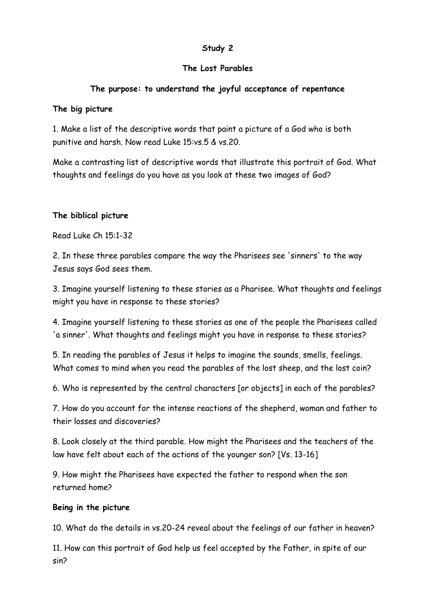## **The Lost Parables**

## **The purpose: to understand the joyful acceptance of repentance**

## **The big picture**

1. Make a list of the descriptive words that paint a picture of a God who is both punitive and harsh. Now read Luke 15:vs.5 & vs.20.

Make a contrasting list of descriptive words that illustrate this portrait of God. What thoughts and feelings do you have as you look at these two images of God?

## **The biblical picture**

Read Luke Ch 15:1-32

2. In these three parables compare the way the Pharisees see 'sinners' to the way Jesus says God sees them.

3. Imagine yourself listening to these stories as a Pharisee. What thoughts and feelings might you have in response to these stories?

4. Imagine yourself listening to these stories as one of the people the Pharisees called 'a sinner'. What thoughts and feelings might you have in response to these stories?

5. In reading the parables of Jesus it helps to imagine the sounds, smells, feelings. What comes to mind when you read the parables of the lost sheep, and the lost coin?

6. Who is represented by the central characters [or objects] in each of the parables?

7. How do you account for the intense reactions of the shepherd, woman and father to their losses and discoveries?

8. Look closely at the third parable. How might the Pharisees and the teachers of the law have felt about each of the actions of the younger son? [Vs. 13-16]

9. How might the Pharisees have expected the father to respond when the son returned home?

### **Being in the picture**

10. What do the details in vs.20-24 reveal about the feelings of our father in heaven?

11. How can this portrait of God help us feel accepted by the Father, in spite of our sin?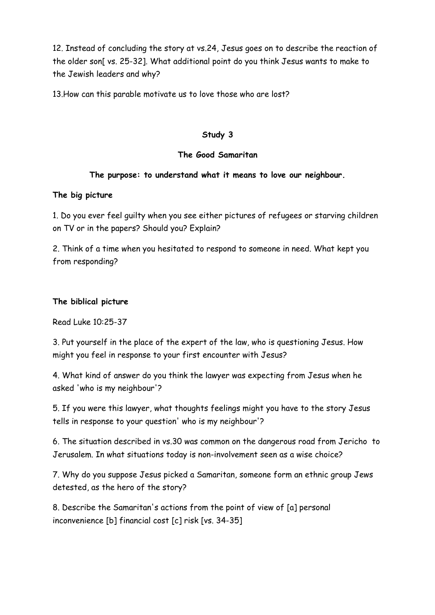12. Instead of concluding the story at vs.24, Jesus goes on to describe the reaction of the older son[ vs. 25-32]. What additional point do you think Jesus wants to make to the Jewish leaders and why?

13.How can this parable motivate us to love those who are lost?

## **Study 3**

## **The Good Samaritan**

## **The purpose: to understand what it means to love our neighbour.**

## **The big picture**

1. Do you ever feel guilty when you see either pictures of refugees or starving children on TV or in the papers? Should you? Explain?

2. Think of a time when you hesitated to respond to someone in need. What kept you from responding?

## **The biblical picture**

Read Luke 10:25-37

3. Put yourself in the place of the expert of the law, who is questioning Jesus. How might you feel in response to your first encounter with Jesus?

4. What kind of answer do you think the lawyer was expecting from Jesus when he asked 'who is my neighbour'?

5. If you were this lawyer, what thoughts feelings might you have to the story Jesus tells in response to your question' who is my neighbour'?

6. The situation described in vs.30 was common on the dangerous road from Jericho to Jerusalem. In what situations today is non-involvement seen as a wise choice?

7. Why do you suppose Jesus picked a Samaritan, someone form an ethnic group Jews detested, as the hero of the story?

8. Describe the Samaritan's actions from the point of view of [a] personal inconvenience [b] financial cost [c] risk [vs. 34-35]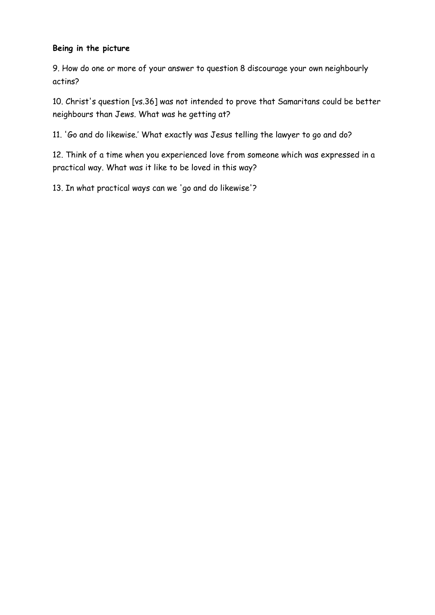### **Being in the picture**

9. How do one or more of your answer to question 8 discourage your own neighbourly actins?

10. Christ's question [vs.36] was not intended to prove that Samaritans could be better neighbours than Jews. What was he getting at?

11. 'Go and do likewise.' What exactly was Jesus telling the lawyer to go and do?

12. Think of a time when you experienced love from someone which was expressed in a practical way. What was it like to be loved in this way?

13. In what practical ways can we 'go and do likewise'?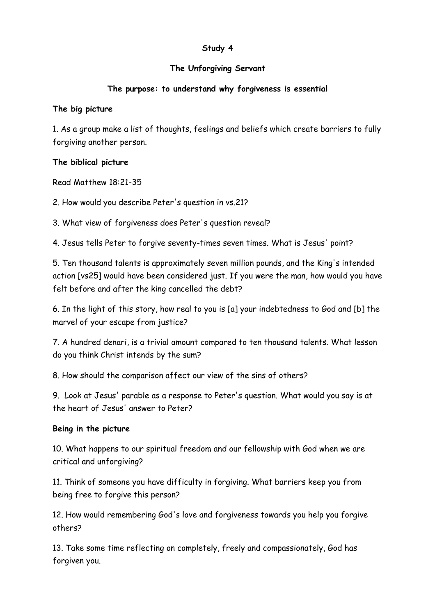## **The Unforgiving Servant**

## **The purpose: to understand why forgiveness is essential**

## **The big picture**

1. As a group make a list of thoughts, feelings and beliefs which create barriers to fully forgiving another person.

## **The biblical picture**

Read Matthew 18:21-35

2. How would you describe Peter's question in vs.21?

3. What view of forgiveness does Peter's question reveal?

4. Jesus tells Peter to forgive seventy-times seven times. What is Jesus' point?

5. Ten thousand talents is approximately seven million pounds, and the King's intended action [vs25] would have been considered just. If you were the man, how would you have felt before and after the king cancelled the debt?

6. In the light of this story, how real to you is [a] your indebtedness to God and [b] the marvel of your escape from justice?

7. A hundred denari, is a trivial amount compared to ten thousand talents. What lesson do you think Christ intends by the sum?

8. How should the comparison affect our view of the sins of others?

9. Look at Jesus' parable as a response to Peter's question. What would you say is at the heart of Jesus' answer to Peter?

## **Being in the picture**

10. What happens to our spiritual freedom and our fellowship with God when we are critical and unforgiving?

11. Think of someone you have difficulty in forgiving. What barriers keep you from being free to forgive this person?

12. How would remembering God's love and forgiveness towards you help you forgive others?

13. Take some time reflecting on completely, freely and compassionately, God has forgiven you.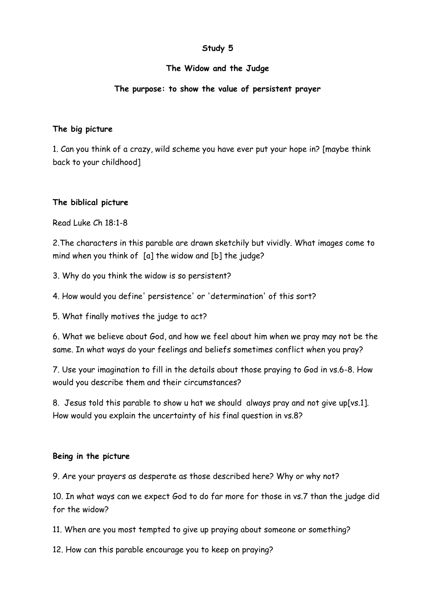### **The Widow and the Judge**

## **The purpose: to show the value of persistent prayer**

### **The big picture**

1. Can you think of a crazy, wild scheme you have ever put your hope in? [maybe think back to your childhood]

## **The biblical picture**

Read Luke Ch 18:1-8

2.The characters in this parable are drawn sketchily but vividly. What images come to mind when you think of [a] the widow and [b] the judge?

3. Why do you think the widow is so persistent?

4. How would you define' persistence' or 'determination' of this sort?

5. What finally motives the judge to act?

6. What we believe about God, and how we feel about him when we pray may not be the same. In what ways do your feelings and beliefs sometimes conflict when you pray?

7. Use your imagination to fill in the details about those praying to God in vs.6-8. How would you describe them and their circumstances?

8. Jesus told this parable to show u hat we should always pray and not give up[vs.1]. How would you explain the uncertainty of his final question in vs.8?

## **Being in the picture**

9. Are your prayers as desperate as those described here? Why or why not?

10. In what ways can we expect God to do far more for those in vs.7 than the judge did for the widow?

11. When are you most tempted to give up praying about someone or something?

12. How can this parable encourage you to keep on praying?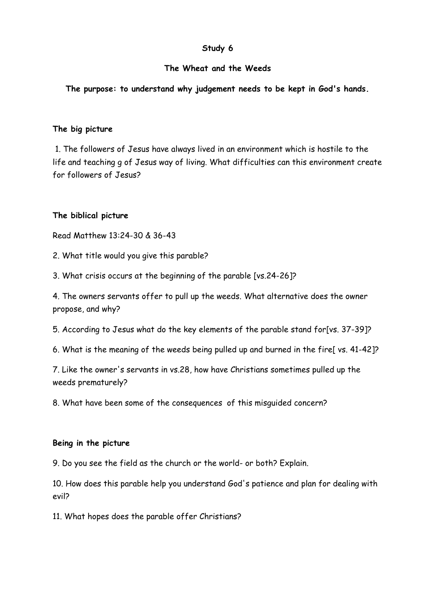### **The Wheat and the Weeds**

**The purpose: to understand why judgement needs to be kept in God's hands.**

### **The big picture**

 1. The followers of Jesus have always lived in an environment which is hostile to the life and teaching g of Jesus way of living. What difficulties can this environment create for followers of Jesus?

## **The biblical picture**

Read Matthew 13:24-30 & 36-43

2. What title would you give this parable?

3. What crisis occurs at the beginning of the parable [vs.24-26]?

4. The owners servants offer to pull up the weeds. What alternative does the owner propose, and why?

5. According to Jesus what do the key elements of the parable stand for[vs. 37-39]?

6. What is the meaning of the weeds being pulled up and burned in the fire[ vs. 41-42]?

7. Like the owner's servants in vs.28, how have Christians sometimes pulled up the weeds prematurely?

8. What have been some of the consequences of this misguided concern?

### **Being in the picture**

9. Do you see the field as the church or the world- or both? Explain.

10. How does this parable help you understand God's patience and plan for dealing with evil?

11. What hopes does the parable offer Christians?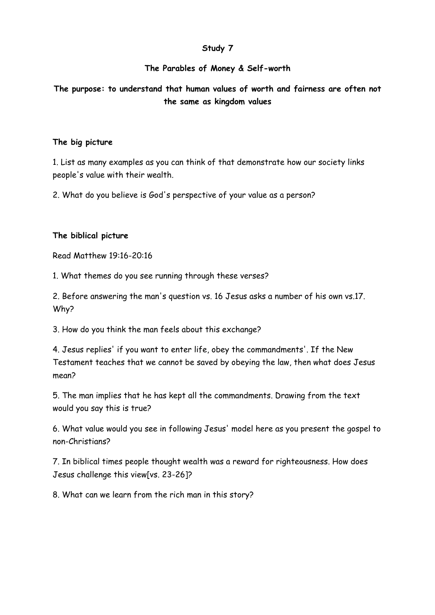### **The Parables of Money & Self-worth**

**The purpose: to understand that human values of worth and fairness are often not the same as kingdom values**

#### **The big picture**

1. List as many examples as you can think of that demonstrate how our society links people's value with their wealth.

2. What do you believe is God's perspective of your value as a person?

#### **The biblical picture**

Read Matthew 19:16-20:16

1. What themes do you see running through these verses?

2. Before answering the man's question vs. 16 Jesus asks a number of his own vs.17. Why?

3. How do you think the man feels about this exchange?

4. Jesus replies' if you want to enter life, obey the commandments'. If the New Testament teaches that we cannot be saved by obeying the law, then what does Jesus mean?

5. The man implies that he has kept all the commandments. Drawing from the text would you say this is true?

6. What value would you see in following Jesus' model here as you present the gospel to non-Christians?

7. In biblical times people thought wealth was a reward for righteousness. How does Jesus challenge this view[vs. 23-26]?

8. What can we learn from the rich man in this story?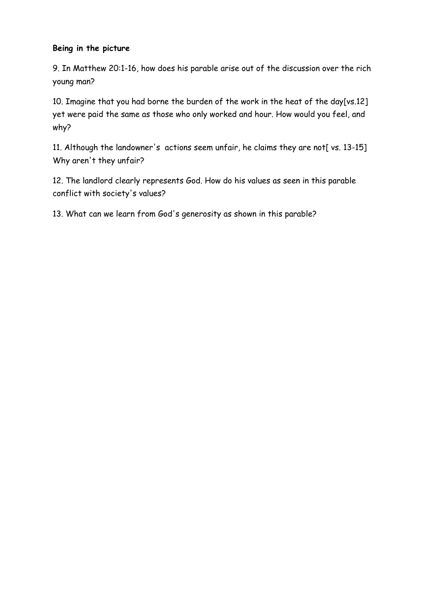## **Being in the picture**

9. In Matthew 20:1-16, how does his parable arise out of the discussion over the rich young man?

10. Imagine that you had borne the burden of the work in the heat of the day[vs.12] yet were paid the same as those who only worked and hour. How would you feel, and why?

11. Although the landowner's actions seem unfair, he claims they are not[ vs. 13-15] Why aren't they unfair?

12. The landlord clearly represents God. How do his values as seen in this parable conflict with society's values?

13. What can we learn from God's generosity as shown in this parable?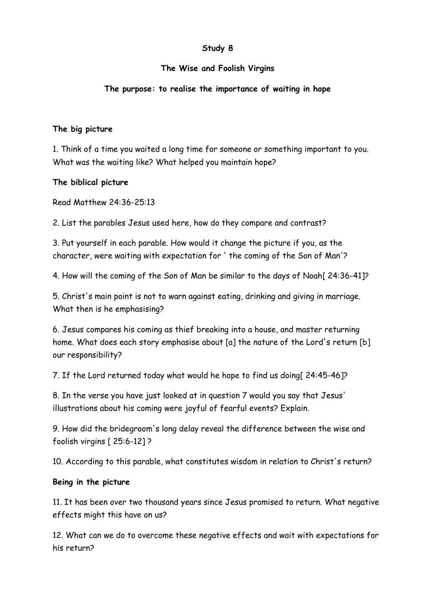## **The Wise and Foolish Virgins**

## **The purpose: to realise the importance of waiting in hope**

### **The big picture**

1. Think of a time you waited a long time for someone or something important to you. What was the waiting like? What helped you maintain hope?

## **The biblical picture**

Read Matthew 24:36-25:13

2. List the parables Jesus used here, how do they compare and contrast?

3. Put yourself in each parable. How would it change the picture if you, as the character, were waiting with expectation for ' the coming of the Son of Man'?

4. How will the coming of the Son of Man be similar to the days of Noah[ 24:36-41]?

5. Christ's main point is not to warn against eating, drinking and giving in marriage. What then is he emphasising?

6. Jesus compares his coming as thief breaking into a house, and master returning home. What does each story emphasise about [a] the nature of the Lord's return [b] our responsibility?

7. If the Lord returned today what would he hope to find us doing[ 24:45-46]?

8. In the verse you have just looked at in question 7 would you say that Jesus' illustrations about his coming were joyful of fearful events? Explain.

9. How did the bridegroom's long delay reveal the difference between the wise and foolish virgins [ 25:6-12] ?

10. According to this parable, what constitutes wisdom in relation to Christ's return?

### **Being in the picture**

11. It has been over two thousand years since Jesus promised to return. What negative effects might this have on us?

12. What can we do to overcome these negative effects and wait with expectations for his return?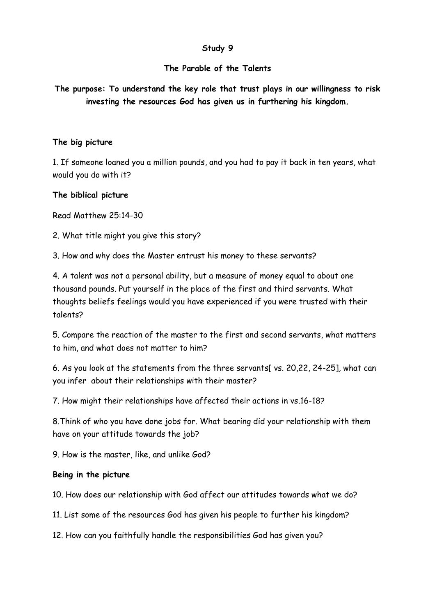### **The Parable of the Talents**

**The purpose: To understand the key role that trust plays in our willingness to risk investing the resources God has given us in furthering his kingdom.**

#### **The big picture**

1. If someone loaned you a million pounds, and you had to pay it back in ten years, what would you do with it?

**The biblical picture**

Read Matthew 25:14-30

2. What title might you give this story?

3. How and why does the Master entrust his money to these servants?

4. A talent was not a personal ability, but a measure of money equal to about one thousand pounds. Put yourself in the place of the first and third servants. What thoughts beliefs feelings would you have experienced if you were trusted with their talents?

5. Compare the reaction of the master to the first and second servants, what matters to him, and what does not matter to him?

6. As you look at the statements from the three servants[ vs. 20,22, 24-25], what can you infer about their relationships with their master?

7. How might their relationships have affected their actions in vs.16-18?

8.Think of who you have done jobs for. What bearing did your relationship with them have on your attitude towards the job?

9. How is the master, like, and unlike God?

#### **Being in the picture**

10. How does our relationship with God affect our attitudes towards what we do?

11. List some of the resources God has given his people to further his kingdom?

12. How can you faithfully handle the responsibilities God has given you?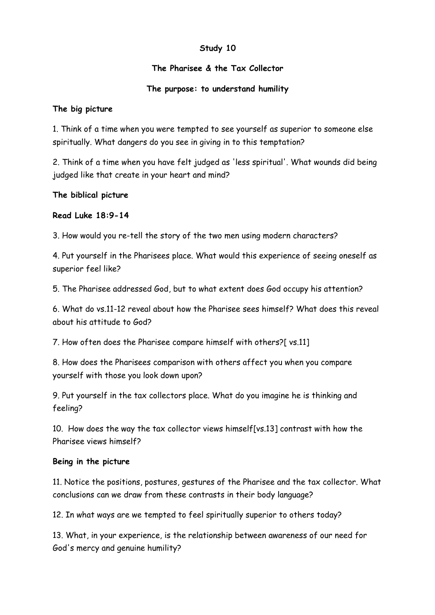## **The Pharisee & the Tax Collector**

## **The purpose: to understand humility**

### **The big picture**

1. Think of a time when you were tempted to see yourself as superior to someone else spiritually. What dangers do you see in giving in to this temptation?

2. Think of a time when you have felt judged as 'less spiritual'. What wounds did being judged like that create in your heart and mind?

## **The biblical picture**

## **Read Luke 18:9-14**

3. How would you re-tell the story of the two men using modern characters?

4. Put yourself in the Pharisees place. What would this experience of seeing oneself as superior feel like?

5. The Pharisee addressed God, but to what extent does God occupy his attention?

6. What do vs.11-12 reveal about how the Pharisee sees himself? What does this reveal about his attitude to God?

7. How often does the Pharisee compare himself with others?[ vs.11]

8. How does the Pharisees comparison with others affect you when you compare yourself with those you look down upon?

9. Put yourself in the tax collectors place. What do you imagine he is thinking and feeling?

10. How does the way the tax collector views himself[vs.13] contrast with how the Pharisee views himself?

### **Being in the picture**

11. Notice the positions, postures, gestures of the Pharisee and the tax collector. What conclusions can we draw from these contrasts in their body language?

12. In what ways are we tempted to feel spiritually superior to others today?

13. What, in your experience, is the relationship between awareness of our need for God's mercy and genuine humility?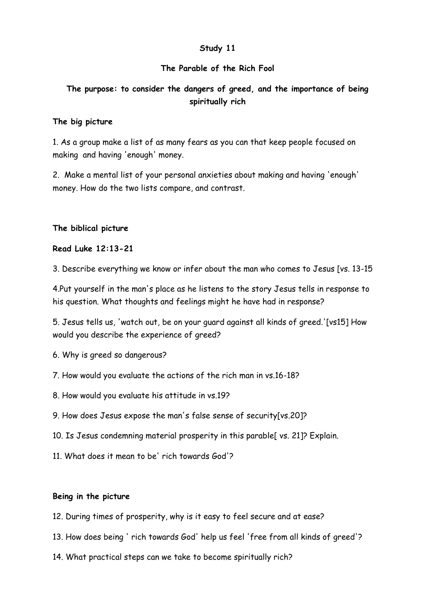### **The Parable of the Rich Fool**

# **The purpose: to consider the dangers of greed, and the importance of being spiritually rich**

#### **The big picture**

1. As a group make a list of as many fears as you can that keep people focused on making and having 'enough' money.

2. Make a mental list of your personal anxieties about making and having 'enough' money. How do the two lists compare, and contrast.

#### **The biblical picture**

#### **Read Luke 12:13-21**

3. Describe everything we know or infer about the man who comes to Jesus [vs. 13-15

4.Put yourself in the man's place as he listens to the story Jesus tells in response to his question. What thoughts and feelings might he have had in response?

5. Jesus tells us, 'watch out, be on your guard against all kinds of greed.'[vs15] How would you describe the experience of greed?

- 6. Why is greed so dangerous?
- 7. How would you evaluate the actions of the rich man in vs.16-18?
- 8. How would you evaluate his attitude in vs.19?
- 9. How does Jesus expose the man's false sense of security[vs.20]?
- 10. Is Jesus condemning material prosperity in this parable[ vs. 21]? Explain.
- 11. What does it mean to be' rich towards God'?

#### **Being in the picture**

- 12. During times of prosperity, why is it easy to feel secure and at ease?
- 13. How does being ' rich towards God' help us feel 'free from all kinds of greed'?
- 14. What practical steps can we take to become spiritually rich?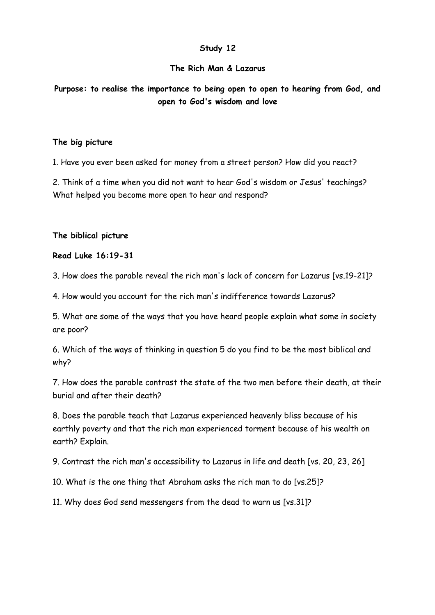### **The Rich Man & Lazarus**

**Purpose: to realise the importance to being open to open to hearing from God, and open to God's wisdom and love**

#### **The big picture**

1. Have you ever been asked for money from a street person? How did you react?

2. Think of a time when you did not want to hear God's wisdom or Jesus' teachings? What helped you become more open to hear and respond?

#### **The biblical picture**

#### **Read Luke 16:19-31**

3. How does the parable reveal the rich man's lack of concern for Lazarus [vs.19-21]?

4. How would you account for the rich man's indifference towards Lazarus?

5. What are some of the ways that you have heard people explain what some in society are poor?

6. Which of the ways of thinking in question 5 do you find to be the most biblical and why?

7. How does the parable contrast the state of the two men before their death, at their burial and after their death?

8. Does the parable teach that Lazarus experienced heavenly bliss because of his earthly poverty and that the rich man experienced torment because of his wealth on earth? Explain.

9. Contrast the rich man's accessibility to Lazarus in life and death [vs. 20, 23, 26]

10. What is the one thing that Abraham asks the rich man to do [vs.25]?

11. Why does God send messengers from the dead to warn us [vs.31]?